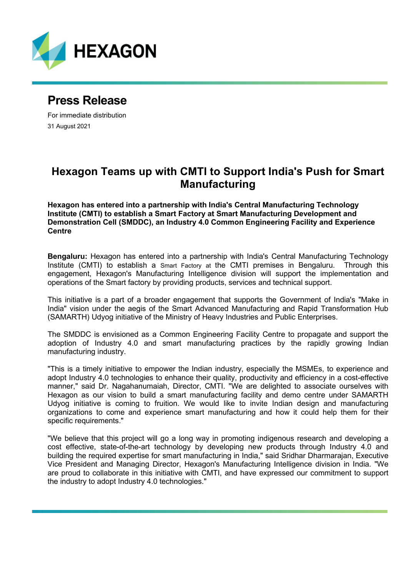

# **Press Release**

For immediate distribution 31 August 2021

## **Hexagon Teams up with CMTI to Support India's Push for Smart Manufacturing**

**Hexagon has entered into a partnership with India's Central Manufacturing Technology Institute (CMTI) to establish a Smart Factory at Smart Manufacturing Development and Demonstration Cell (SMDDC), an Industry 4.0 Common Engineering Facility and Experience Centre**

**Bengaluru:** Hexagon has entered into a partnership with India's Central Manufacturing Technology Institute (CMTI) to establish a Smart Factory at the CMTI premises in Bengaluru. Through this engagement, Hexagon's Manufacturing Intelligence division will support the implementation and operations of the Smart factory by providing products, services and technical support.

This initiative is a part of a broader engagement that supports the Government of India's "Make in India" vision under the aegis of the Smart Advanced Manufacturing and Rapid Transformation Hub (SAMARTH) Udyog initiative of the Ministry of Heavy Industries and Public Enterprises.

The SMDDC is envisioned as a Common Engineering Facility Centre to propagate and support the adoption of Industry 4.0 and smart manufacturing practices by the rapidly growing Indian manufacturing industry.

"This is a timely initiative to empower the Indian industry, especially the MSMEs, to experience and adopt Industry 4.0 technologies to enhance their quality, productivity and efficiency in a cost-effective manner," said Dr. Nagahanumaiah, Director, CMTI. "We are delighted to associate ourselves with Hexagon as our vision to build a smart manufacturing facility and demo centre under SAMARTH Udyog initiative is coming to fruition. We would like to invite Indian design and manufacturing organizations to come and experience smart manufacturing and how it could help them for their specific requirements."

"We believe that this project will go a long way in promoting indigenous research and developing a cost effective, state-of-the-art technology by developing new products through Industry 4.0 and building the required expertise for smart manufacturing in India," said Sridhar Dharmarajan, Executive Vice President and Managing Director, Hexagon's Manufacturing Intelligence division in India. "We are proud to collaborate in this initiative with CMTI, and have expressed our commitment to support the industry to adopt Industry 4.0 technologies."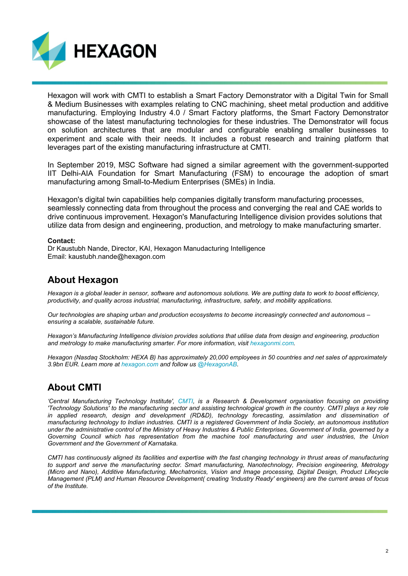

Hexagon will work with CMTI to establish a Smart Factory Demonstrator with a Digital Twin for Small & Medium Businesses with examples relating to CNC machining, sheet metal production and additive manufacturing. Employing Industry 4.0 / Smart Factory platforms, the Smart Factory Demonstrator showcase of the latest manufacturing technologies for these industries. The Demonstrator will focus on solution architectures that are modular and configurable enabling smaller businesses to experiment and scale with their needs. It includes a robust research and training platform that leverages part of the existing manufacturing infrastructure at CMTI.

In September 2019, MSC Software had signed a similar agreement with the government-supported IIT Delhi-AIA Foundation for Smart Manufacturing (FSM) to encourage the adoption of smart manufacturing among Small-to-Medium Enterprises (SMEs) in India.

Hexagon's digital twin capabilities help companies digitally transform manufacturing processes, seamlessly connecting data from throughout the process and converging the real and CAE worlds to drive continuous improvement. Hexagon's Manufacturing Intelligence division provides solutions that utilize data from design and engineering, production, and metrology to make manufacturing smarter.

#### **Contact:**

Dr Kaustubh Nande, Director, KAI, Hexagon Manudacturing Intelligence Email: kaustubh.nande@hexagon.com

### **About Hexagon**

*Hexagon is a global leader in sensor, software and autonomous solutions. We are putting data to work to boost efficiency, productivity, and quality across industrial, manufacturing, infrastructure, safety, and mobility applications.*

*Our technologies are shaping urban and production ecosystems to become increasingly connected and autonomous – ensuring a scalable, sustainable future.*

*Hexagon's Manufacturing Intelligence division provides solutions that utilise data from design and engineering, production and metrology to make manufacturing smarter. For more information, visit [hexagonmi.com.](http://www.hexagonmi.com/)*

*Hexagon (Nasdaq Stockholm: HEXA B) has approximately 20,000 employees in 50 countries and net sales of approximately 3.9bn EUR. Learn more at [hexagon.com](http://www.hexagon.com/) and follow u[s @HexagonAB.](https://twitter.com/hexagonab)*

### **About CMTI**

*'Central Manufacturing Technology Institute', [CMTI,](https://cmti-india.net/) is a Research & Development organisation focusing on providing 'Technology Solutions' to the manufacturing sector and assisting technological growth in the country. CMTI plays a key role*  in applied research, design and development (RD&D), technology forecasting, assimilation and dissemination of *manufacturing technology to Indian industries. CMTI is a registered Government of India Society, an autonomous institution under the administrative control of the Ministry of Heavy Industries & Public Enterprises, Government of India, governed by a Governing Council which has representation from the machine tool manufacturing and user industries, the Union Government and the Government of Karnataka.*

*CMTI has continuously aligned its facilities and expertise with the fast changing technology in thrust areas of manufacturing to support and serve the manufacturing sector. Smart manufacturing, Nanotechnology, Precision engineering, Metrology (Micro and Nano), Additive Manufacturing, Mechatronics, Vision and Image processing, Digital Design, Product Lifecycle Management (PLM) and Human Resource Development( creating 'Industry Ready' engineers) are the current areas of focus of the Institute.*